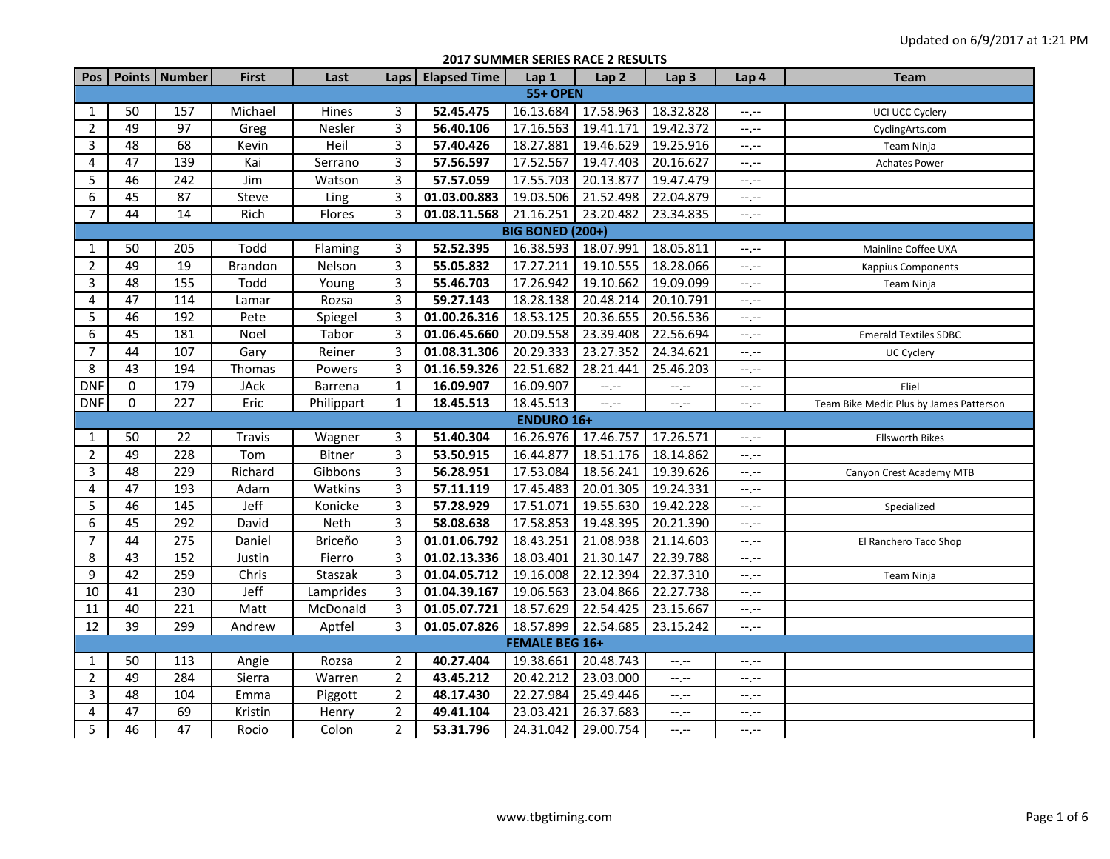**2017 SUMMER SERIES RACE 2 RESULTS**

| Pos            |                 | Points   Number | <b>First</b>   | Last          | Laps           | <b>Elapsed Time</b> | Lap 1                   | Lap <sub>2</sub> | Lap <sub>3</sub> | Lap 4            | <b>Team</b>                             |  |  |  |
|----------------|-----------------|-----------------|----------------|---------------|----------------|---------------------|-------------------------|------------------|------------------|------------------|-----------------------------------------|--|--|--|
|                | <b>55+ OPEN</b> |                 |                |               |                |                     |                         |                  |                  |                  |                                         |  |  |  |
| 1              | 50              | 157             | Michael        | Hines         | 3              | 52.45.475           | 16.13.684               | 17.58.963        | 18.32.828        | $-1$ .           | UCI UCC Cyclery                         |  |  |  |
| $\overline{2}$ | 49              | 97              | Greg           | Nesler        | 3              | 56.40.106           | 17.16.563               | 19.41.171        | 19.42.372        | --,--            | CyclingArts.com                         |  |  |  |
| 3              | 48              | 68              | Kevin          | Heil          | 3              | 57.40.426           | 18.27.881               | 19.46.629        | 19.25.916        | $-1$ , $-1$      | Team Ninja                              |  |  |  |
| 4              | 47              | 139             | Kai            | Serrano       | 3              | 57.56.597           | 17.52.567               | 19.47.403        | 20.16.627        | $-1$ , $-1$      | <b>Achates Power</b>                    |  |  |  |
| 5              | 46              | 242             | Jim            | Watson        | 3              | 57.57.059           | 17.55.703               | 20.13.877        | 19.47.479        | $-1 - 1 - 1 = 0$ |                                         |  |  |  |
| 6              | 45              | 87              | Steve          | Ling          | 3              | 01.03.00.883        | 19.03.506               | 21.52.498        | 22.04.879        | $-1$ .           |                                         |  |  |  |
| $\overline{7}$ | 44              | 14              | Rich           | Flores        | 3              | 01.08.11.568        | 21.16.251               | 23.20.482        | 23.34.835        | $-1, -1$         |                                         |  |  |  |
|                |                 |                 |                |               |                |                     | <b>BIG BONED (200+)</b> |                  |                  |                  |                                         |  |  |  |
| $\mathbf{1}$   | 50              | 205             | Todd           | Flaming       | 3              | 52.52.395           | 16.38.593               | 18.07.991        | 18.05.811        | $-1$ , $-1$      | Mainline Coffee UXA                     |  |  |  |
| $\overline{2}$ | 49              | 19              | <b>Brandon</b> | Nelson        | 3              | 55.05.832           | 17.27.211               | 19.10.555        | 18.28.066        | --,--            | <b>Kappius Components</b>               |  |  |  |
| 3              | 48              | 155             | Todd           | Young         | 3              | 55.46.703           | 17.26.942               | 19.10.662        | 19.09.099        | $-1, -1$         | Team Ninja                              |  |  |  |
| 4              | 47              | 114             | Lamar          | Rozsa         | 3              | 59.27.143           | 18.28.138               | 20.48.214        | 20.10.791        | $-1$             |                                         |  |  |  |
| 5              | 46              | 192             | Pete           | Spiegel       | 3              | 01.00.26.316        | 18.53.125               | 20.36.655        | 20.56.536        | --,--            |                                         |  |  |  |
| 6              | 45              | 181             | Noel           | Tabor         | 3              | 01.06.45.660        | 20.09.558               | 23.39.408        | 22.56.694        | $-1 - 1 - 1 = 0$ | <b>Emerald Textiles SDBC</b>            |  |  |  |
| $\overline{7}$ | 44              | 107             | Gary           | Reiner        | 3              | 01.08.31.306        | 20.29.333               | 23.27.352        | 24.34.621        | --,--            | <b>UC Cyclery</b>                       |  |  |  |
| 8              | 43              | 194             | Thomas         | Powers        | 3              | 01.16.59.326        | 22.51.682               | 28.21.441        | 25.46.203        | $-1$ , $-1$      |                                         |  |  |  |
| <b>DNF</b>     | 0               | 179             | <b>JAck</b>    | Barrena       | $\mathbf{1}$   | 16.09.907           | 16.09.907               | $-1, -1$         | --.--            | --.--            | Eliel                                   |  |  |  |
| <b>DNF</b>     | 0               | 227             | Eric           | Philippart    | $\mathbf{1}$   | 18.45.513           | 18.45.513               | $-1$             | $-1$             | --,--            | Team Bike Medic Plus by James Patterson |  |  |  |
|                |                 |                 |                |               |                |                     | <b>ENDURO 16+</b>       |                  |                  |                  |                                         |  |  |  |
| 1              | 50              | 22              | Travis         | Wagner        | 3              | 51.40.304           | 16.26.976               | 17.46.757        | 17.26.571        | $-1$ , $-1$      | <b>Ellsworth Bikes</b>                  |  |  |  |
| $\overline{2}$ | 49              | 228             | Tom            | <b>Bitner</b> | 3              | 53.50.915           | 16.44.877               | 18.51.176        | 18.14.862        | --,--            |                                         |  |  |  |
| 3              | 48              | 229             | Richard        | Gibbons       | 3              | 56.28.951           | 17.53.084               | 18.56.241        | 19.39.626        | --,--            | Canyon Crest Academy MTB                |  |  |  |
| 4              | 47              | 193             | Adam           | Watkins       | 3              | 57.11.119           | 17.45.483               | 20.01.305        | 19.24.331        | $-1$ , $-1$      |                                         |  |  |  |
| 5              | 46              | 145             | Jeff           | Konicke       | 3              | 57.28.929           | 17.51.071               | 19.55.630        | 19.42.228        | --,--            | Specialized                             |  |  |  |
| 6              | 45              | 292             | David          | Neth          | $\overline{3}$ | 58.08.638           | 17.58.853               | 19.48.395        | 20.21.390        | $-1$             |                                         |  |  |  |
| $\overline{7}$ | 44              | 275             | Daniel         | Briceño       | 3              | 01.01.06.792        | 18.43.251               | 21.08.938        | 21.14.603        | --,--            | El Ranchero Taco Shop                   |  |  |  |
| 8              | 43              | $\frac{152}{ }$ | Justin         | Fierro        | 3              | 01.02.13.336        | 18.03.401               | 21.30.147        | 22.39.788        | --,--            |                                         |  |  |  |
| 9              | 42              | 259             | Chris          | Staszak       | 3              | 01.04.05.712        | 19.16.008               | 22.12.394        | 22.37.310        | $-1$ , $-1$      | Team Ninja                              |  |  |  |
| 10             | 41              | 230             | Jeff           | Lamprides     | 3              | 01.04.39.167        | 19.06.563               | 23.04.866        | 22.27.738        | $-1$             |                                         |  |  |  |
| 11             | 40              | 221             | Matt           | McDonald      | 3              | 01.05.07.721        | 18.57.629               | 22.54.425        | 23.15.667        | $-1$             |                                         |  |  |  |
| 12             | 39              | 299             | Andrew         | Aptfel        | 3              | 01.05.07.826        | 18.57.899               | 22.54.685        | 23.15.242        | $-1 - 1 - 1 = 0$ |                                         |  |  |  |
|                |                 |                 |                |               |                |                     | <b>FEMALE BEG 16+</b>   |                  |                  |                  |                                         |  |  |  |
| $\mathbf{1}$   | 50              | 113             | Angie          | Rozsa         | $\overline{2}$ | 40.27.404           | 19.38.661               | 20.48.743        | $-1, -1$         | --,--            |                                         |  |  |  |
| $\overline{2}$ | 49              | 284             | Sierra         | Warren        | $\overline{2}$ | 43.45.212           | 20.42.212               | 23.03.000        | --,--            | --.--            |                                         |  |  |  |
| 3              | 48              | 104             | Emma           | Piggott       | $\overline{2}$ | 48.17.430           | 22.27.984               | 25.49.446        | $-1, -1$         | $-1, -1$         |                                         |  |  |  |
| 4              | 47              | 69              | Kristin        | Henry         | $\overline{2}$ | 49.41.104           | 23.03.421               | 26.37.683        | $-1, -1$         | $-1$ , $-1$      |                                         |  |  |  |
| 5              | 46              | 47              | Rocio          | Colon         | $\overline{2}$ | 53.31.796           | 24.31.042               | 29.00.754        | --,--            | $-1, -1$         |                                         |  |  |  |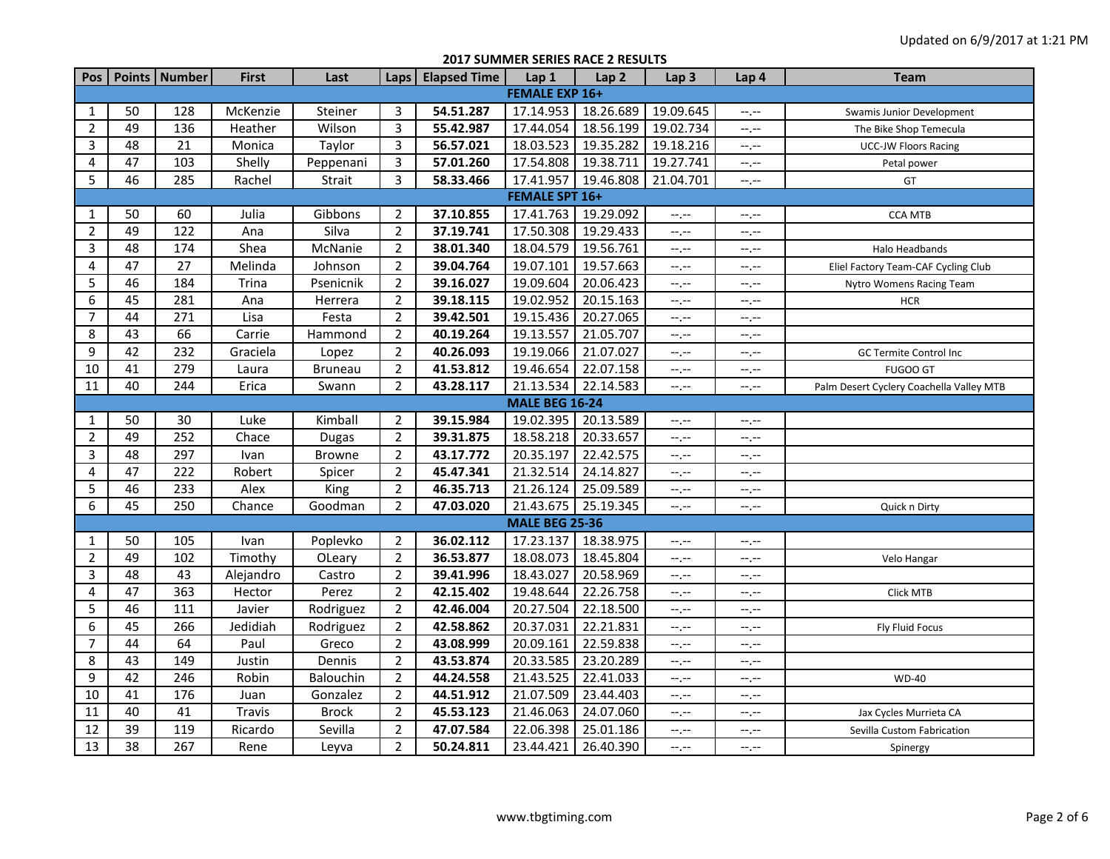## **2017 SUMMER SERIES RACE 2 RESULTS**

| Pos                   |                 | Points   Number  | First     | Last           | Laps           | <b>Elapsed Time</b> | Lap 1                 | Lap <sub>2</sub> | Lap <sub>3</sub> | Lap 4                       | <b>Team</b>                              |  |  |
|-----------------------|-----------------|------------------|-----------|----------------|----------------|---------------------|-----------------------|------------------|------------------|-----------------------------|------------------------------------------|--|--|
| <b>FEMALE EXP 16+</b> |                 |                  |           |                |                |                     |                       |                  |                  |                             |                                          |  |  |
| 1                     | 50              | 128              | McKenzie  | Steiner        | 3              | 54.51.287           | 17.14.953             | 18.26.689        | 19.09.645        | $--, --$                    | Swamis Junior Development                |  |  |
| $\overline{2}$        | 49              | 136              | Heather   | Wilson         | 3              | 55.42.987           | 17.44.054             | 18.56.199        | 19.02.734        | $-1$ , $-1$                 | The Bike Shop Temecula                   |  |  |
| 3                     | 48              | 21               | Monica    | Taylor         | 3              | 56.57.021           | 18.03.523             | 19.35.282        | 19.18.216        | $--, --$                    | <b>UCC-JW Floors Racing</b>              |  |  |
| 4                     | 47              | 103              | Shelly    | Peppenani      | 3              | 57.01.260           | 17.54.808             | 19.38.711        | 19.27.741        | $-1$ , $-1$                 | Petal power                              |  |  |
| 5                     | 46              | 285              | Rachel    | Strait         | 3              | 58.33.466           | 17.41.957             | 19.46.808        | 21.04.701        | $-1$                        | GT                                       |  |  |
|                       |                 |                  |           |                |                |                     | <b>FEMALE SPT 16+</b> |                  |                  |                             |                                          |  |  |
| $\mathbf{1}$          | 50              | 60               | Julia     | Gibbons        | 2              | 37.10.855           | 17.41.763             | 19.29.092        | $-1, -1$         | $-1, -1$                    | <b>CCA MTB</b>                           |  |  |
| $\overline{2}$        | 49              | 122              | Ana       | Silva          | $\overline{2}$ | 37.19.741           | 17.50.308             | 19.29.433        | $-1, -1$         | $-1, -1$                    |                                          |  |  |
| 3                     | 48              | 174              | Shea      | McNanie        | $\overline{2}$ | 38.01.340           | 18.04.579             | 19.56.761        | $-1$ , $-1$      | $-1, -1$                    | Halo Headbands                           |  |  |
| 4                     | 47              | 27               | Melinda   | Johnson        | $\overline{2}$ | 39.04.764           | 19.07.101             | 19.57.663        | $-1, -1$         | $-1, -1$                    | Eliel Factory Team-CAF Cycling Club      |  |  |
| 5                     | 46              | 184              | Trina     | Psenicnik      | 2              | 39.16.027           | 19.09.604             | 20.06.423        | $-1$ , $-1$      | $-1, -1$                    | Nytro Womens Racing Team                 |  |  |
| 6                     | 45              | 281              | Ana       | Herrera        | $\overline{2}$ | 39.18.115           | 19.02.952             | 20.15.163        | $--, --$         | --.--                       | <b>HCR</b>                               |  |  |
| 7                     | 44              | 271              | Lisa      | Festa          | 2              | 39.42.501           | 19.15.436             | 20.27.065        | $-1, -1$         | $-1$ , $-1$                 |                                          |  |  |
| 8                     | 43              | 66               | Carrie    | Hammond        | 2              | 40.19.264           | 19.13.557             | 21.05.707        | $-1, -1$         | $-1, -1$                    |                                          |  |  |
| 9                     | 42              | 232              | Graciela  | Lopez          | $\overline{2}$ | 40.26.093           | 19.19.066             | 21.07.027        | --.--            | $-1, -1$                    | GC Termite Control Inc                   |  |  |
| 10                    | 41              | 279              | Laura     | <b>Bruneau</b> | $\overline{2}$ | 41.53.812           | 19.46.654             | 22.07.158        | $-1, -1$         | $-1, -1$                    | <b>FUGOO GT</b>                          |  |  |
| 11                    | 40              | 244              | Erica     | Swann          | $\overline{2}$ | 43.28.117           | 21.13.534             | 22.14.583        | --.--            | --.--                       | Palm Desert Cyclery Coachella Valley MTB |  |  |
|                       |                 |                  |           |                |                |                     | <b>MALE BEG 16-24</b> |                  |                  |                             |                                          |  |  |
| 1                     | 50              | 30               | Luke      | Kimball        | $\overline{2}$ | 39.15.984           | 19.02.395             | 20.13.589        | $-1$ , $-1$      | --.--                       |                                          |  |  |
| $\overline{2}$        | 49              | 252              | Chace     | <b>Dugas</b>   | $\overline{2}$ | 39.31.875           | 18.58.218             | 20.33.657        | $-1, -1$         | $-1, -1$                    |                                          |  |  |
| $\mathbf{3}$          | 48              | 297              | Ivan      | <b>Browne</b>  | 2              | 43.17.772           | 20.35.197             | 22.42.575        | $-1, -1$         | $-1, -1$                    |                                          |  |  |
| 4                     | 47              | 222              | Robert    | Spicer         | $\overline{2}$ | 45.47.341           | 21.32.514             | 24.14.827        | $-1, -1$         | $-1, -1$                    |                                          |  |  |
| 5                     | 46              | 233              | Alex      | King           | $\overline{2}$ | 46.35.713           | 21.26.124             | 25.09.589        | $-1, -1$         | $-1, -1$                    |                                          |  |  |
| 6                     | 45              | 250              | Chance    | Goodman        | $\overline{2}$ | 47.03.020           | 21.43.675             | 25.19.345        | --.--            | $-1, -1$                    | Quick n Dirty                            |  |  |
|                       |                 |                  |           |                |                |                     | <b>MALE BEG 25-36</b> |                  |                  |                             |                                          |  |  |
| 1                     | 50              | 105              | Ivan      | Poplevko       | $\overline{2}$ | 36.02.112           | 17.23.137             | 18.38.975        | $-1$ , $-1$      | $-1, -1$                    |                                          |  |  |
| $\overline{2}$        | 49              | 102              | Timothy   | OLeary         | $\overline{2}$ | 36.53.877           | 18.08.073             | 18.45.804        | $-1, -1$         | $-1, -1$                    | Velo Hangar                              |  |  |
| 3                     | 48              | 43               | Alejandro | Castro         | 2              | 39.41.996           | 18.43.027             | 20.58.969        | $-1, -1$         | $-1, -1$                    |                                          |  |  |
| 4                     | 47              | 363              | Hector    | Perez          | $\overline{2}$ | 42.15.402           | 19.48.644             | 22.26.758        | $-1, -1$         | $-1, -1$                    | Click MTB                                |  |  |
| 5                     | 46              | 111              | Javier    | Rodriguez      | $\overline{2}$ | 42.46.004           | 20.27.504             | 22.18.500        | $-1, -1$         | $-1, -1$                    |                                          |  |  |
| 6                     | 45              | 266              | Jedidiah  | Rodriguez      | $\overline{2}$ | 42.58.862           | 20.37.031             | 22.21.831        | $-1$ , $-1$      | $-1, -1$                    | <b>Fly Fluid Focus</b>                   |  |  |
| $\overline{7}$        | 44              | 64               | Paul      | Greco          | $\overline{2}$ | 43.08.999           | 20.09.161             | 22.59.838        | $-1, -1$         | $-1, -1$                    |                                          |  |  |
| 8                     | 43              | 149              | Justin    | Dennis         | $\overline{2}$ | 43.53.874           | 20.33.585             | 23.20.289        | $--, --$         | $\leftarrow$ , $\leftarrow$ |                                          |  |  |
| 9                     | 42              | 246              | Robin     | Balouchin      | $\overline{2}$ | 44.24.558           | 21.43.525             | 22.41.033        | --.--            | $-1, -1$                    | <b>WD-40</b>                             |  |  |
| $10\,$                | 41              | 176              | Juan      | Gonzalez       | $\overline{2}$ | 44.51.912           | 21.07.509             | 23.44.403        | $-1$             | $-1, -1$                    |                                          |  |  |
| 11                    | 40              | 41               | Travis    | <b>Brock</b>   | $\overline{2}$ | 45.53.123           | 21.46.063             | 24.07.060        | $-1, -1$         | $-1, -1$                    | Jax Cycles Murrieta CA                   |  |  |
| 12                    | 39              | 119              | Ricardo   | Sevilla        | $\overline{2}$ | 47.07.584           | 22.06.398             | 25.01.186        | $-1, -1$         | --.--                       | Sevilla Custom Fabrication               |  |  |
| 13                    | $\overline{38}$ | $\overline{267}$ | Rene      | Leyva          | $\overline{2}$ | 50.24.811           | 23.44.421             | 26.40.390        | --.--            | $-1, -1$                    | Spinergy                                 |  |  |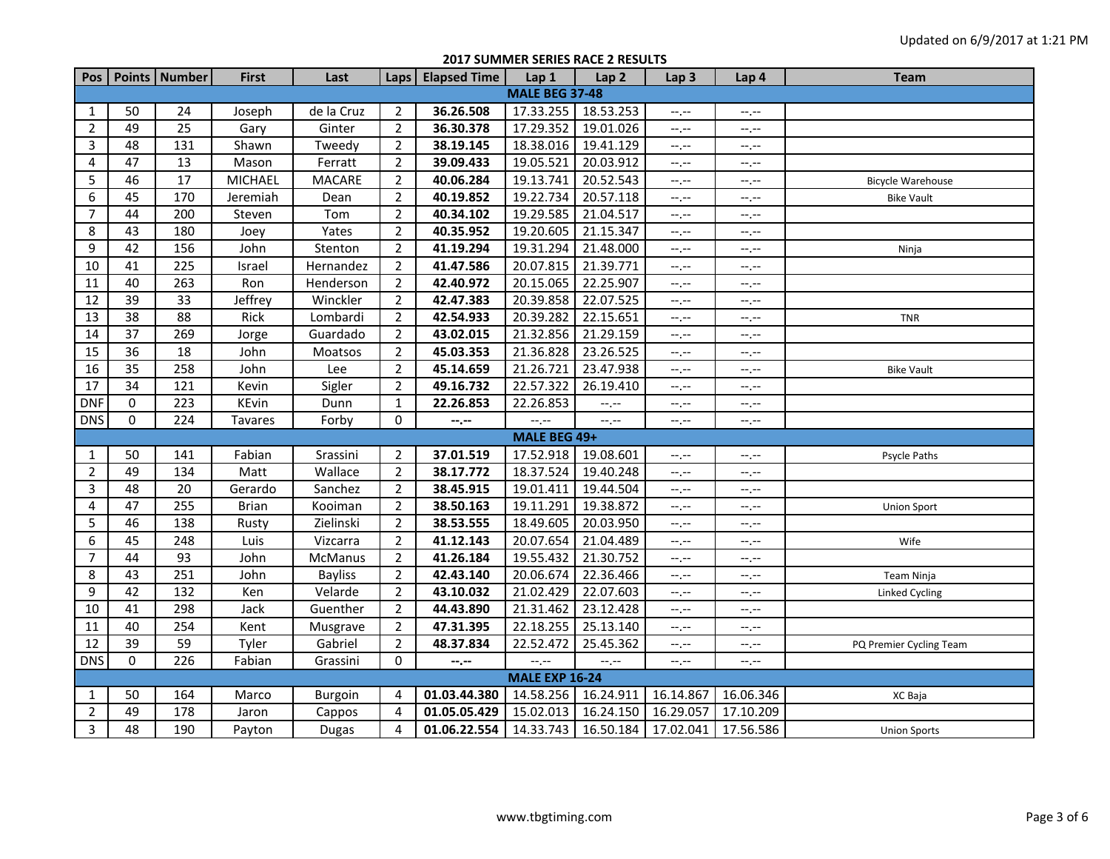## **2017 SUMMER SERIES RACE 2 RESULTS**

|                |                       | Pos   Points   Number | <b>First</b>   | Last           |                | Laps   Elapsed Time | Lap 1                 | Lap <sub>2</sub> | Lap <sub>3</sub>              | Lap 4                       | <b>Team</b>             |  |  |  |
|----------------|-----------------------|-----------------------|----------------|----------------|----------------|---------------------|-----------------------|------------------|-------------------------------|-----------------------------|-------------------------|--|--|--|
|                | <b>MALE BEG 37-48</b> |                       |                |                |                |                     |                       |                  |                               |                             |                         |  |  |  |
| $\mathbf{1}$   | 50                    | 24                    | Joseph         | de la Cruz     | $\overline{2}$ | 36.26.508           | 17.33.255             | 18.53.253        | $-1, -1$                      | $-1, -1$                    |                         |  |  |  |
| $\overline{2}$ | 49                    | 25                    | Gary           | Ginter         | $\overline{2}$ | 36.30.378           | 17.29.352             | 19.01.026        | $-1$                          | $-1, -1$                    |                         |  |  |  |
| 3              | 48                    | 131                   | Shawn          | Tweedy         | $\overline{2}$ | 38.19.145           | 18.38.016             | 19.41.129        | $-1$                          | $-1, -1$                    |                         |  |  |  |
| 4              | 47                    | 13                    | Mason          | Ferratt        | $\overline{2}$ | 39.09.433           | 19.05.521             | 20.03.912        | $\rightarrow$ , $\rightarrow$ | $-1, -1$                    |                         |  |  |  |
| 5              | 46                    | 17                    | <b>MICHAEL</b> | <b>MACARE</b>  | $\overline{2}$ | 40.06.284           | 19.13.741             | 20.52.543        | $-1$ , $-1$                   | $-1, -1$                    | Bicycle Warehouse       |  |  |  |
| 6              | 45                    | 170                   | Jeremiah       | Dean           | $\overline{2}$ | 40.19.852           | 19.22.734             | 20.57.118        | $-1$                          | $-1$ , $-1$                 | <b>Bike Vault</b>       |  |  |  |
| $\overline{7}$ | 44                    | 200                   | Steven         | Tom            | $\overline{2}$ | 40.34.102           | 19.29.585             | 21.04.517        | $\frac{1}{2}$                 | $-$ , $-$                   |                         |  |  |  |
| 8              | 43                    | 180                   | Joey           | Yates          | $\overline{2}$ | 40.35.952           | 19.20.605             | 21.15.347        | $-1$ , $-1$                   | $-1, -1$                    |                         |  |  |  |
| 9              | 42                    | 156                   | John           | Stenton        | $\overline{2}$ | 41.19.294           | 19.31.294             | 21.48.000        | $-1$ , $-1$                   | $-1$                        | Ninja                   |  |  |  |
| 10             | 41                    | 225                   | Israel         | Hernandez      | $\overline{2}$ | 41.47.586           | 20.07.815             | 21.39.771        | $-1$                          | $-1, -1$                    |                         |  |  |  |
| $11\,$         | 40                    | 263                   | Ron            | Henderson      | $\overline{2}$ | 42.40.972           | 20.15.065             | 22.25.907        | $-1, -1$                      | $-1, -1$                    |                         |  |  |  |
| 12             | 39                    | 33                    | Jeffrey        | Winckler       | $\overline{2}$ | 42.47.383           | 20.39.858             | 22.07.525        | $-1$                          | $-1, -1$                    |                         |  |  |  |
| 13             | 38                    | 88                    | Rick           | Lombardi       | $\overline{2}$ | 42.54.933           | 20.39.282             | 22.15.651        | $-1, -1$                      | $-1, -1$                    | <b>TNR</b>              |  |  |  |
| 14             | $\overline{37}$       | 269                   | Jorge          | Guardado       | $\overline{2}$ | 43.02.015           | 21.32.856             | 21.29.159        | $-1$                          | $-1, -1$                    |                         |  |  |  |
| 15             | 36                    | 18                    | John           | Moatsos        | $\overline{2}$ | 45.03.353           | 21.36.828             | 23.26.525        | $-1, -1$                      | $-1, -1$                    |                         |  |  |  |
| 16             | 35                    | 258                   | John           | Lee            | $\overline{2}$ | 45.14.659           | 21.26.721             | 23.47.938        | $-1, -1$                      | $-1, -1$                    | <b>Bike Vault</b>       |  |  |  |
| 17             | 34                    | 121                   | Kevin          | Sigler         | $\overline{2}$ | 49.16.732           | 22.57.322             | 26.19.410        | $-1$ , $-1$                   | $-1, -1$                    |                         |  |  |  |
| <b>DNF</b>     | $\mathbf 0$           | 223                   | KEvin          | Dunn           | $\mathbf{1}$   | 22.26.853           | 22.26.853             | $--, --$         | $-1$                          | $-1$                        |                         |  |  |  |
| <b>DNS</b>     | 0                     | 224                   | <b>Tavares</b> | Forby          | 0              | --.--               | $-1$                  | $-1$             | $-1$                          | $-1, -1$                    |                         |  |  |  |
|                |                       |                       |                |                |                |                     | MALE BEG 49+          |                  |                               |                             |                         |  |  |  |
| $\mathbf{1}$   | 50                    | 141                   | Fabian         | Srassini       | 2              | 37.01.519           | 17.52.918             | 19.08.601        | $-1, -1$                      | $-1, -1$                    | Psycle Paths            |  |  |  |
| $\overline{2}$ | 49                    | 134                   | Matt           | Wallace        | $\overline{2}$ | 38.17.772           | 18.37.524             | 19.40.248        | ÷,÷                           | $-1, -1$                    |                         |  |  |  |
| 3              | 48                    | 20                    | Gerardo        | Sanchez        | $\overline{2}$ | 38.45.915           | 19.01.411             | 19.44.504        | $-1$                          | $-1, -1$                    |                         |  |  |  |
| 4              | 47                    | 255                   | <b>Brian</b>   | Kooiman        | $\overline{2}$ | 38.50.163           | 19.11.291             | 19.38.872        | $-1$                          | $-1, -1$                    | <b>Union Sport</b>      |  |  |  |
| 5              | 46                    | 138                   | Rusty          | Zielinski      | $\overline{2}$ | 38.53.555           | 18.49.605             | 20.03.950        | $-1, -1$                      | $-1, -1$                    |                         |  |  |  |
| 6              | 45                    | 248                   | Luis           | Vizcarra       | $\overline{2}$ | 41.12.143           | 20.07.654             | 21.04.489        | --.--                         | $-1, -1$                    | Wife                    |  |  |  |
| $\overline{7}$ | 44                    | 93                    | John           | <b>McManus</b> | $\overline{2}$ | 41.26.184           | 19.55.432             | 21.30.752        | $-1$                          | $-1, -1$                    |                         |  |  |  |
| 8              | 43                    | 251                   | John           | <b>Bayliss</b> | $\overline{2}$ | 42.43.140           | 20.06.674             | 22.36.466        | $-1, -1$                      | $-1, -1$                    | Team Ninja              |  |  |  |
| 9              | 42                    | 132                   | Ken            | Velarde        | $\overline{2}$ | 43.10.032           | 21.02.429             | 22.07.603        | $-1, -1$                      | $\leftarrow$ , $\leftarrow$ | <b>Linked Cycling</b>   |  |  |  |
| 10             | 41                    | 298                   | Jack           | Guenther       | $\overline{2}$ | 44.43.890           | 21.31.462             | 23.12.428        | $-1$ , $-1$                   | $-1, -1$                    |                         |  |  |  |
| $11\,$         | 40                    | 254                   | Kent           | Musgrave       | $\overline{2}$ | 47.31.395           | 22.18.255             | 25.13.140        | $-1$                          | $-1$                        |                         |  |  |  |
| 12             | 39                    | 59                    | Tyler          | Gabriel        | 2              | 48.37.834           | 22.52.472             | 25.45.362        | ÷,÷                           | $-1, -1$                    | PQ Premier Cycling Team |  |  |  |
| <b>DNS</b>     | $\mathbf 0$           | 226                   | Fabian         | Grassini       | 0              | $--, --$            | $-1$                  | $-1, -1$         | $-1$ , $-1$                   | $-1, -1$                    |                         |  |  |  |
|                |                       |                       |                |                |                |                     | <b>MALE EXP 16-24</b> |                  |                               |                             |                         |  |  |  |
| 1              | 50                    | 164                   | Marco          | Burgoin        | 4              | 01.03.44.380        | 14.58.256             | 16.24.911        | 16.14.867                     | 16.06.346                   | XC Baja                 |  |  |  |
| $\overline{2}$ | 49                    | 178                   | Jaron          | Cappos         | 4              | 01.05.05.429        | 15.02.013             | 16.24.150        | 16.29.057                     | 17.10.209                   |                         |  |  |  |
| 3              | 48                    | 190                   | Payton         | <b>Dugas</b>   | 4              | 01.06.22.554        | 14.33.743             | 16.50.184        | 17.02.041                     | 17.56.586                   | <b>Union Sports</b>     |  |  |  |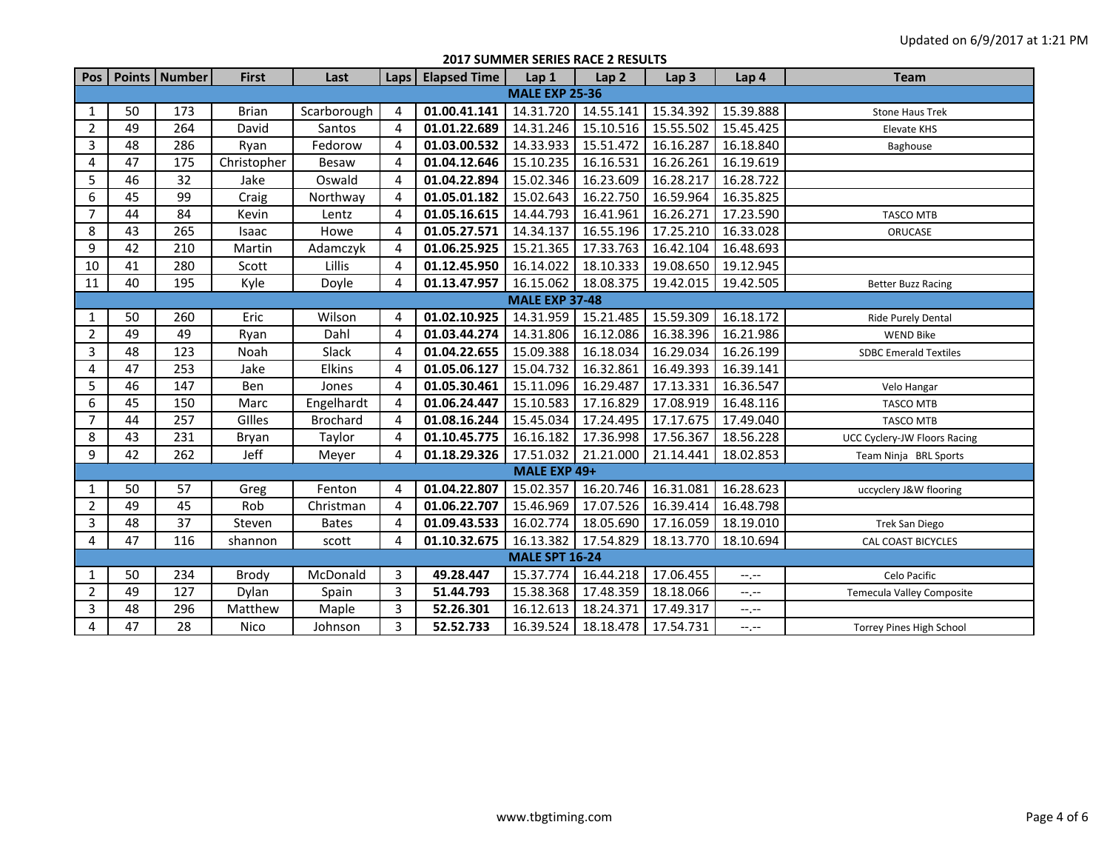**2017 SUMMER SERIES RACE 2 RESULTS**

| Pos            |                       | Points Number | <b>First</b> | Last            | Laps           | <b>Elapsed Time</b> | Lap 1                 | Lap <sub>2</sub> | Lap <sub>3</sub> | Lap 4            | <b>Team</b>                      |  |  |  |
|----------------|-----------------------|---------------|--------------|-----------------|----------------|---------------------|-----------------------|------------------|------------------|------------------|----------------------------------|--|--|--|
|                | <b>MALE EXP 25-36</b> |               |              |                 |                |                     |                       |                  |                  |                  |                                  |  |  |  |
| $\mathbf{1}$   | 50                    | 173           | <b>Brian</b> | Scarborough     | 4              | 01.00.41.141        | 14.31.720             | 14.55.141        | 15.34.392        | 15.39.888        | <b>Stone Haus Trek</b>           |  |  |  |
| $\overline{2}$ | 49                    | 264           | David        | Santos          | 4              | 01.01.22.689        | 14.31.246             | 15.10.516        | 15.55.502        | 15.45.425        | Elevate KHS                      |  |  |  |
| 3              | 48                    | 286           | Ryan         | Fedorow         | 4              | 01.03.00.532        | 14.33.933             | 15.51.472        | 16.16.287        | 16.18.840        | Baghouse                         |  |  |  |
| 4              | 47                    | 175           | Christopher  | Besaw           | 4              | 01.04.12.646        | 15.10.235             | 16.16.531        | 16.26.261        | 16.19.619        |                                  |  |  |  |
| 5              | 46                    | 32            | Jake         | Oswald          | $\overline{4}$ | 01.04.22.894        | 15.02.346             | 16.23.609        | 16.28.217        | 16.28.722        |                                  |  |  |  |
| 6              | 45                    | 99            | Craig        | Northway        | 4              | 01.05.01.182        | 15.02.643             | 16.22.750        | 16.59.964        | 16.35.825        |                                  |  |  |  |
| $\overline{7}$ | 44                    | 84            | Kevin        | Lentz           | 4              | 01.05.16.615        | 14.44.793             | 16.41.961        | 16.26.271        | 17.23.590        | <b>TASCO MTB</b>                 |  |  |  |
| 8              | 43                    | 265           | Isaac        | Howe            | 4              | 01.05.27.571        | 14.34.137             | 16.55.196        | 17.25.210        | 16.33.028        | ORUCASE                          |  |  |  |
| 9              | 42                    | 210           | Martin       | Adamczyk        | 4              | 01.06.25.925        | 15.21.365             | 17.33.763        | 16.42.104        | 16.48.693        |                                  |  |  |  |
| 10             | 41                    | 280           | Scott        | Lillis          | 4              | 01.12.45.950        | 16.14.022             | 18.10.333        | 19.08.650        | 19.12.945        |                                  |  |  |  |
| 11             | 40                    | 195           | Kyle         | Doyle           | 4              | 01.13.47.957        | 16.15.062             | 18.08.375        | 19.42.015        | 19.42.505        | <b>Better Buzz Racing</b>        |  |  |  |
|                | <b>MALE EXP 37-48</b> |               |              |                 |                |                     |                       |                  |                  |                  |                                  |  |  |  |
| 1              | 50                    | 260           | Eric         | Wilson          | 4              | 01.02.10.925        | 14.31.959             | 15.21.485        | 15.59.309        | 16.18.172        | Ride Purely Dental               |  |  |  |
| $\overline{2}$ | 49                    | 49            | Ryan         | Dahl            | 4              | 01.03.44.274        | 14.31.806             | 16.12.086        | 16.38.396        | 16.21.986        | <b>WEND Bike</b>                 |  |  |  |
| 3              | 48                    | 123           | Noah         | Slack           | 4              | 01.04.22.655        | 15.09.388             | 16.18.034        | 16.29.034        | 16.26.199        | <b>SDBC Emerald Textiles</b>     |  |  |  |
| 4              | 47                    | 253           | Jake         | Elkins          | 4              | 01.05.06.127        | 15.04.732             | 16.32.861        | 16.49.393        | 16.39.141        |                                  |  |  |  |
| 5              | 46                    | 147           | Ben          | Jones           | 4              | 01.05.30.461        | 15.11.096             | 16.29.487        | 17.13.331        | 16.36.547        | Velo Hangar                      |  |  |  |
| 6              | 45                    | 150           | Marc         | Engelhardt      | 4              | 01.06.24.447        | 15.10.583             | 17.16.829        | 17.08.919        | 16.48.116        | <b>TASCO MTB</b>                 |  |  |  |
| $\overline{7}$ | 44                    | 257           | Gilles       | <b>Brochard</b> | 4              | 01.08.16.244        | 15.45.034             | 17.24.495        | 17.17.675        | 17.49.040        | <b>TASCO MTB</b>                 |  |  |  |
| 8              | 43                    | 231           | Bryan        | Taylor          | 4              | 01.10.45.775        | 16.16.182             | 17.36.998        | 17.56.367        | 18.56.228        | UCC Cyclery-JW Floors Racing     |  |  |  |
| 9              | 42                    | 262           | Jeff         | Meyer           | 4              | 01.18.29.326        | 17.51.032             | 21.21.000        | 21.14.441        | 18.02.853        | Team Ninja BRL Sports            |  |  |  |
|                |                       |               |              |                 |                |                     | MALE EXP 49+          |                  |                  |                  |                                  |  |  |  |
| $\mathbf{1}$   | 50                    | 57            | Greg         | Fenton          | 4              | 01.04.22.807        | 15.02.357             | 16.20.746        | 16.31.081        | 16.28.623        | uccyclery J&W flooring           |  |  |  |
| $\overline{2}$ | 49                    | 45            | Rob          | Christman       | 4              | 01.06.22.707        | 15.46.969             | 17.07.526        | 16.39.414        | 16.48.798        |                                  |  |  |  |
| 3              | 48                    | 37            | Steven       | <b>Bates</b>    | 4              | 01.09.43.533        | 16.02.774             | 18.05.690        | 17.16.059        | 18.19.010        | Trek San Diego                   |  |  |  |
| 4              | 47                    | 116           | shannon      | scott           | 4              | 01.10.32.675        | 16.13.382             | 17.54.829        | 18.13.770        | 18.10.694        | <b>CAL COAST BICYCLES</b>        |  |  |  |
|                |                       |               |              |                 |                |                     | <b>MALE SPT 16-24</b> |                  |                  |                  |                                  |  |  |  |
| 1              | 50                    | 234           | Brody        | McDonald        | 3              | 49.28.447           | 15.37.774             | 16.44.218        | 17.06.455        | --.--            | Celo Pacific                     |  |  |  |
| $\overline{2}$ | 49                    | 127           | Dylan        | Spain           | 3              | 51.44.793           | 15.38.368             | 17.48.359        | 18.18.066        | $-1$             | <b>Temecula Valley Composite</b> |  |  |  |
| 3              | 48                    | 296           | Matthew      | Maple           | 3              | 52.26.301           | 16.12.613             | 18.24.371        | 17.49.317        | $-1$ , $-1$      |                                  |  |  |  |
| 4              | 47                    | 28            | Nico         | Johnson         | 3              | 52.52.733           | 16.39.524             | 18.18.478        | 17.54.731        | $-1 - 1 - 1 = 0$ | <b>Torrey Pines High School</b>  |  |  |  |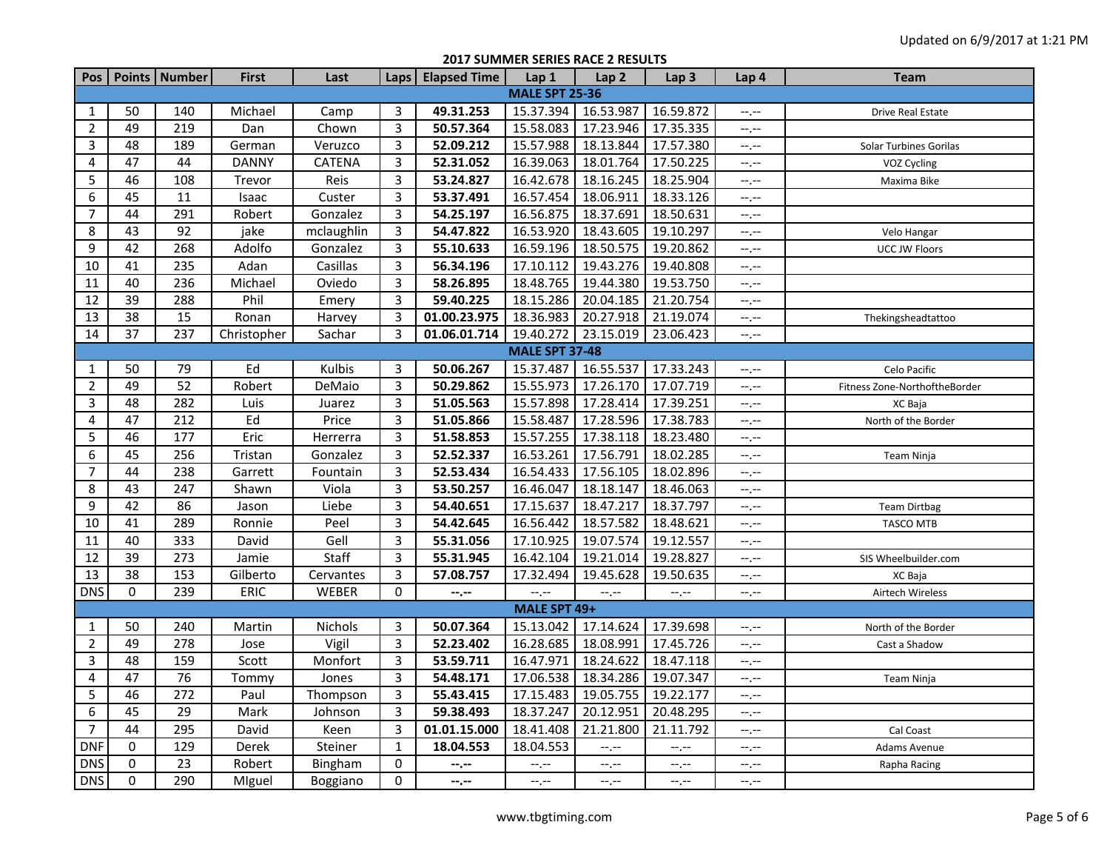**2017 SUMMER SERIES RACE 2 RESULTS**

|                       |             | Pos   Points   Number | <b>First</b> | Last          | Laps           | <b>Elapsed Time</b> | Lap <sub>1</sub> | Lap <sub>2</sub> | Lap <sub>3</sub> | Lap <sub>4</sub> | <b>Team</b>                   |  |  |
|-----------------------|-------------|-----------------------|--------------|---------------|----------------|---------------------|------------------|------------------|------------------|------------------|-------------------------------|--|--|
| <b>MALE SPT 25-36</b> |             |                       |              |               |                |                     |                  |                  |                  |                  |                               |  |  |
| $\mathbf{1}$          | 50          | 140                   | Michael      | Camp          | 3              | 49.31.253           | 15.37.394        | 16.53.987        | 16.59.872        | $-1 - 1 - 1 = 0$ | <b>Drive Real Estate</b>      |  |  |
| $\overline{2}$        | 49          | 219                   | Dan          | Chown         | 3              | 50.57.364           | 15.58.083        | 17.23.946        | 17.35.335        | $-1$ , $-1$      |                               |  |  |
| 3                     | 48          | 189                   | German       | Veruzco       | 3              | 52.09.212           | 15.57.988        | 18.13.844        | 17.57.380        | --.--            | Solar Turbines Gorilas        |  |  |
| 4                     | 47          | 44                    | <b>DANNY</b> | <b>CATENA</b> | $\overline{3}$ | 52.31.052           | 16.39.063        | 18.01.764        | 17.50.225        | $-1, -1$         | VOZ Cycling                   |  |  |
| 5                     | 46          | 108                   | Trevor       | Reis          | 3              | 53.24.827           | 16.42.678        | 18.16.245        | 18.25.904        | $-1$ , $-1$      | Maxima Bike                   |  |  |
| 6                     | 45          | 11                    | Isaac        | Custer        | $\overline{3}$ | 53.37.491           | 16.57.454        | 18.06.911        | 18.33.126        | $-1, -1$         |                               |  |  |
| 7                     | 44          | 291                   | Robert       | Gonzalez      | 3              | 54.25.197           | 16.56.875        | 18.37.691        | 18.50.631        | $-1, -1$         |                               |  |  |
| 8                     | 43          | 92                    | jake         | mclaughlin    | 3              | 54.47.822           | 16.53.920        | 18.43.605        | 19.10.297        | $-1$             | Velo Hangar                   |  |  |
| 9                     | 42          | 268                   | Adolfo       | Gonzalez      | 3              | 55.10.633           | 16.59.196        | 18.50.575        | 19.20.862        | $-1, -1$         | UCC JW Floors                 |  |  |
| 10                    | 41          | 235                   | Adan         | Casillas      | $\overline{3}$ | 56.34.196           | 17.10.112        | 19.43.276        | 19.40.808        | $-1$ , $-1$      |                               |  |  |
| 11                    | 40          | 236                   | Michael      | Oviedo        | 3              | 58.26.895           | 18.48.765        | 19.44.380        | 19.53.750        | $-1, -1$         |                               |  |  |
| 12                    | 39          | 288                   | Phil         | Emery         | 3              | 59.40.225           | 18.15.286        | 20.04.185        | 21.20.754        | $-1, -1$         |                               |  |  |
| 13                    | 38          | 15                    | Ronan        | Harvey        | 3              | 01.00.23.975        | 18.36.983        | 20.27.918        | 21.19.074        | $-1, -1$         | Thekingsheadtattoo            |  |  |
| 14                    | 37          | 237                   | Christopher  | Sachar        | 3              | 01.06.01.714        | 19.40.272        | 23.15.019        | 23.06.423        | $-1, -1$         |                               |  |  |
| <b>MALE SPT 37-48</b> |             |                       |              |               |                |                     |                  |                  |                  |                  |                               |  |  |
| $\mathbf{1}$          | 50          | 79                    | Ed           | Kulbis        | 3              | 50.06.267           | 15.37.487        | 16.55.537        | 17.33.243        | $-1, -1$         | Celo Pacific                  |  |  |
| $\overline{2}$        | 49          | 52                    | Robert       | DeMaio        | $\overline{3}$ | 50.29.862           | 15.55.973        | 17.26.170        | 17.07.719        | $-1, -1$         | Fitness Zone-NorthoftheBorder |  |  |
| 3                     | 48          | 282                   | Luis         | Juarez        | 3              | 51.05.563           | 15.57.898        | 17.28.414        | 17.39.251        | $-1, -1$         | XC Baja                       |  |  |
| 4                     | 47          | 212                   | Ed           | Price         | 3              | 51.05.866           | 15.58.487        | 17.28.596        | 17.38.783        | $-1$ , $-1$      | North of the Border           |  |  |
| 5                     | 46          | 177                   | Eric         | Herrerra      | 3              | 51.58.853           | 15.57.255        | 17.38.118        | 18.23.480        | $-1, -1$         |                               |  |  |
| 6                     | 45          | 256                   | Tristan      | Gonzalez      | 3              | 52.52.337           | 16.53.261        | 17.56.791        | 18.02.285        | $-1, -1$         | <b>Team Ninja</b>             |  |  |
| 7                     | 44          | 238                   | Garrett      | Fountain      | 3              | 52.53.434           | 16.54.433        | 17.56.105        | 18.02.896        | $-1$ , $-1$      |                               |  |  |
| 8                     | 43          | 247                   | Shawn        | Viola         | $\overline{3}$ | 53.50.257           | 16.46.047        | 18.18.147        | 18.46.063        | $-1$ , $-1$      |                               |  |  |
| 9                     | 42          | 86                    | Jason        | Liebe         | 3              | 54.40.651           | 17.15.637        | 18.47.217        | 18.37.797        | $-1, -1$         | Team Dirtbag                  |  |  |
| 10                    | 41          | 289                   | Ronnie       | Peel          | 3              | 54.42.645           | 16.56.442        | 18.57.582        | 18.48.621        | $-1, -1$         | TASCO MTB                     |  |  |
| 11                    | 40          | 333                   | David        | Gell          | 3              | 55.31.056           | 17.10.925        | 19.07.574        | 19.12.557        | $-1, -1$         |                               |  |  |
| 12                    | 39          | 273                   | Jamie        | Staff         | 3              | 55.31.945           | 16.42.104        | 19.21.014        | 19.28.827        | $-1, -1$         | SIS Wheelbuilder.com          |  |  |
| 13                    | 38          | 153                   | Gilberto     | Cervantes     | 3              | 57.08.757           | 17.32.494        | 19.45.628        | 19.50.635        | $-1, -1$         | XC Baja                       |  |  |
| <b>DNS</b>            | $\mathbf 0$ | 239                   | <b>ERIC</b>  | WEBER         | $\mathbf 0$    | $--, --$            | $-1$             | $-1$             | $-1$ , $-1$      | $-1, -1$         | Airtech Wireless              |  |  |
|                       |             |                       |              |               |                |                     | MALE SPT 49+     |                  |                  |                  |                               |  |  |
| 1                     | 50          | 240                   | Martin       | Nichols       | 3              | 50.07.364           | 15.13.042        | 17.14.624        | 17.39.698        | $-1 - 1 - 1 = 0$ | North of the Border           |  |  |
| $\overline{2}$        | 49          | $\overline{278}$      | Jose         | Vigil         | $\overline{3}$ | 52.23.402           | 16.28.685        | 18.08.991        | 17.45.726        | $-1, -1$         | Cast a Shadow                 |  |  |
| 3                     | 48          | 159                   | Scott        | Monfort       | 3              | 53.59.711           | 16.47.971        | 18.24.622        | 18.47.118        | $-1, -1$         |                               |  |  |
| 4                     | 47          | 76                    | Tommy        | Jones         | $\overline{3}$ | 54.48.171           | 17.06.538        | 18.34.286        | 19.07.347        | $-1, -1$         | Team Ninja                    |  |  |
| 5                     | 46          | 272                   | Paul         | Thompson      | 3              | 55.43.415           | 17.15.483        | 19.05.755        | 19.22.177        | $-1, -1$         |                               |  |  |
| 6                     | 45          | 29                    | Mark         | Johnson       | $\overline{3}$ | 59.38.493           | 18.37.247        | 20.12.951        | 20.48.295        | $-1, -1$         |                               |  |  |
| $\overline{7}$        | 44          | 295                   | David        | Keen          | $\overline{3}$ | 01.01.15.000        | 18.41.408        | 21.21.800        | 21.11.792        | $-1, -1$         | Cal Coast                     |  |  |
| <b>DNF</b>            | 0           | 129                   | Derek        | Steiner       | 1              | 18.04.553           | 18.04.553        | $-1, -1$         | $-1, -1$         | $-1, -1$         | Adams Avenue                  |  |  |
| DNS                   | 0           | 23                    | Robert       | Bingham       | $\Omega$       | $- - - - -$         | --,--            | $--, --$         | $-1, -1$         | $-1, -1$         | Rapha Racing                  |  |  |
| <b>DNS</b>            | $\mathbf 0$ | 290                   | MIguel       | Boggiano      | 0              | $-2 - 1 - 1 = 0$    | --.--            | $-1, -1$         | $-1, -1$         | $-1, -1$         |                               |  |  |